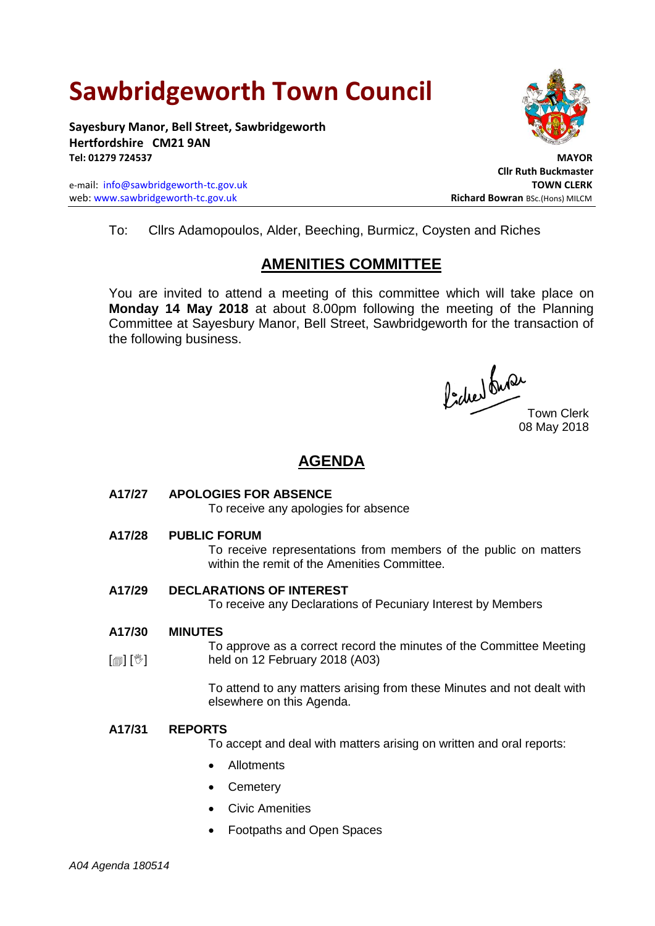# **Sawbridgeworth Town Council**

**Sayesbury Manor, Bell Street, Sawbridgeworth Hertfordshire CM21 9AN Tel: 01279 724537 MAYOR**

e-mail: [info@sawbridgeworth-tc.gov.uk](mailto:info@sawbridgeworth-tc.gov.uk) **TOWN CLERK** web: www.sawbridgeworth-tc.gov.uk<br> **Richard Bowran** BSc.(Hons) MILCM



To: Cllrs Adamopoulos, Alder, Beeching, Burmicz, Coysten and Riches

## **AMENITIES COMMITTEE**

You are invited to attend a meeting of this committee which will take place on **Monday 14 May 2018** at about 8.00pm following the meeting of the Planning Committee at Sayesbury Manor, Bell Street, Sawbridgeworth for the transaction of the following business.

Picked Que

Town Clerk 08 May 2018

### **AGENDA**

**A17/27 APOLOGIES FOR ABSENCE**

To receive any apologies for absence

**A17/28 PUBLIC FORUM**

To receive representations from members of the public on matters within the remit of the Amenities Committee.

**A17/29 DECLARATIONS OF INTEREST**

To receive any Declarations of Pecuniary Interest by Members

**A17/30 MINUTES**

[創] [V] To approve as a correct record the minutes of the Committee Meeting held on 12 February 2018 (A03)

> To attend to any matters arising from these Minutes and not dealt with elsewhere on this Agenda.

#### **A17/31 REPORTS**

To accept and deal with matters arising on written and oral reports:

- Allotments
- **Cemetery**
- Civic Amenities
- Footpaths and Open Spaces